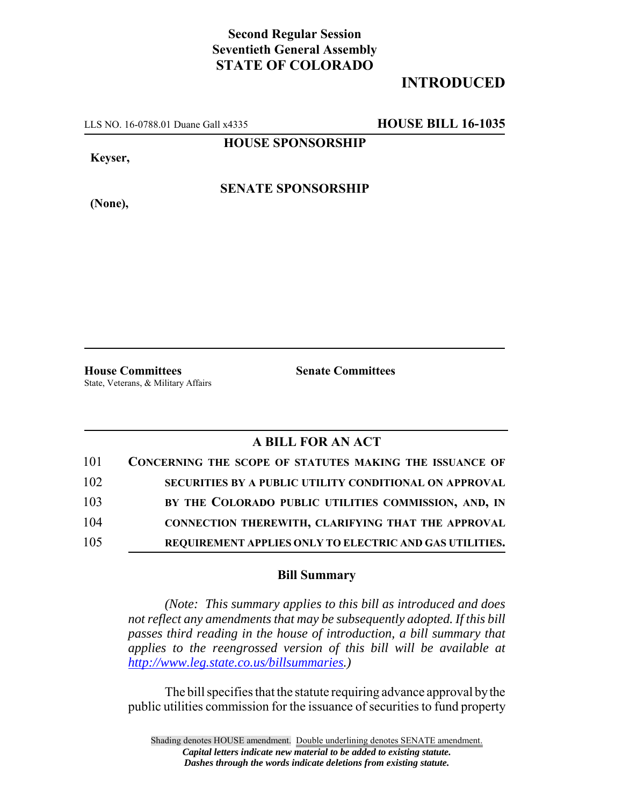## **Second Regular Session Seventieth General Assembly STATE OF COLORADO**

## **INTRODUCED**

LLS NO. 16-0788.01 Duane Gall x4335 **HOUSE BILL 16-1035**

**HOUSE SPONSORSHIP**

**Keyser,**

**SENATE SPONSORSHIP**

**(None),**

**House Committees Senate Committees** State, Veterans, & Military Affairs

## **A BILL FOR AN ACT**

| 101 | CONCERNING THE SCOPE OF STATUTES MAKING THE ISSUANCE OF |
|-----|---------------------------------------------------------|
| 102 | SECURITIES BY A PUBLIC UTILITY CONDITIONAL ON APPROVAL  |
| 103 | BY THE COLORADO PUBLIC UTILITIES COMMISSION, AND, IN    |
| 104 | CONNECTION THEREWITH, CLARIFYING THAT THE APPROVAL      |
| 105 | REQUIREMENT APPLIES ONLY TO ELECTRIC AND GAS UTILITIES. |

## **Bill Summary**

*(Note: This summary applies to this bill as introduced and does not reflect any amendments that may be subsequently adopted. If this bill passes third reading in the house of introduction, a bill summary that applies to the reengrossed version of this bill will be available at http://www.leg.state.co.us/billsummaries.)*

The bill specifies that the statute requiring advance approval by the public utilities commission for the issuance of securities to fund property